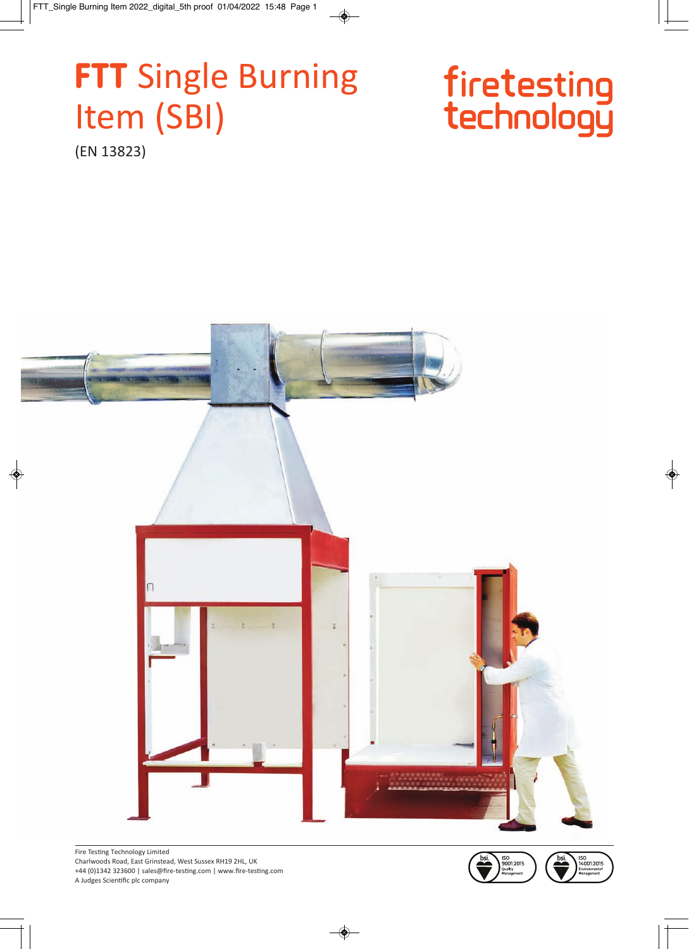# **FTT** Single Burning Item (SBI)

# firetesting<br>technology

(EN 13823)







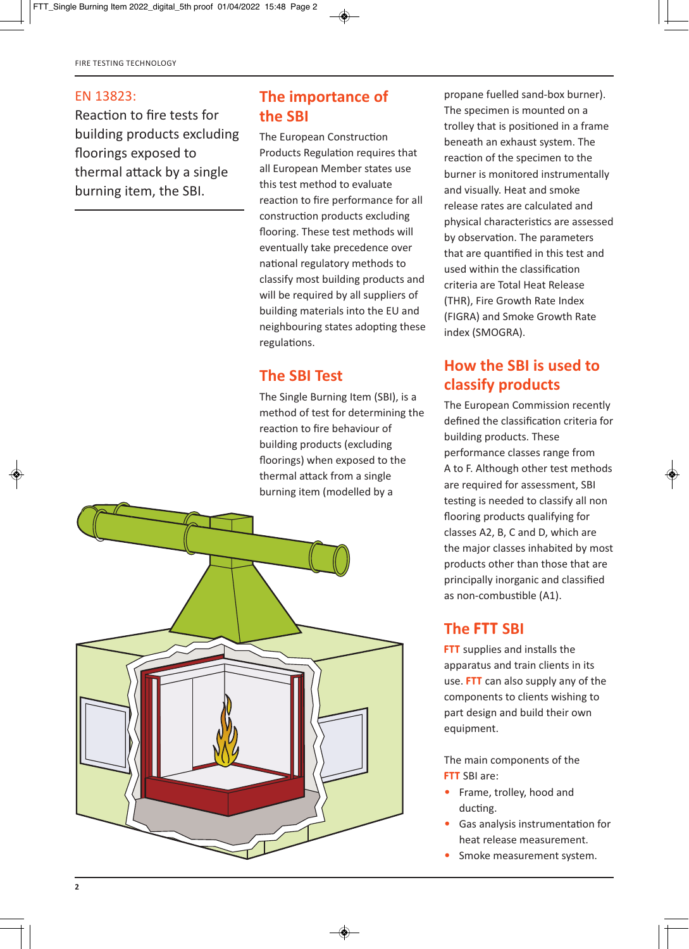#### EN 13823:

Reaction to fire tests for building products excluding floorings exposed to thermal attack by a single burning item, the SBI.

# **The importance of the SBI**

The European Construction Products Regulation requires that all European Member states use this test method to evaluate reaction to fire performance for all construction products excluding flooring. These test methods will eventually take precedence over national regulatory methods to classify most building products and will be required by all suppliers of building materials into the EU and neighbouring states adopting these regulations.

#### **The SBI Test**

The Single Burning Item (SBI), is a method of test for determining the reaction to fire behaviour of building products (excluding floorings) when exposed to the thermal attack from a single burning item (modelled by a



propane fuelled sand-box burner). The specimen is mounted on a trolley that is positioned in a frame beneath an exhaust system. The reaction of the specimen to the burner is monitored instrumentally and visually. Heat and smoke release rates are calculated and physical characteristics are assessed by observation. The parameters that are quantified in this test and used within the classification criteria are Total Heat Release (THR), Fire Growth Rate Index (FIGRA) and Smoke Growth Rate index (SMOGRA).

## **How the SBI is used to classify products**

The European Commission recently defined the classification criteria for building products. These performance classes range from A to F. Although other test methods are required for assessment, SBI testing is needed to classify all non flooring products qualifying for classes A2, B, C and D, which are the major classes inhabited by most products other than those that are principally inorganic and classified as non-combustible (A1).

### **The FTT SBI**

**FTT** supplies and installs the apparatus and train clients in its use. **FTT** can also supply any of the components to clients wishing to part design and build their own equipment.

The main components of the **FTT** SBI are:

- Frame, trolley, hood and ducting.
- Gas analysis instrumentation for heat release measurement.
- Smoke measurement system.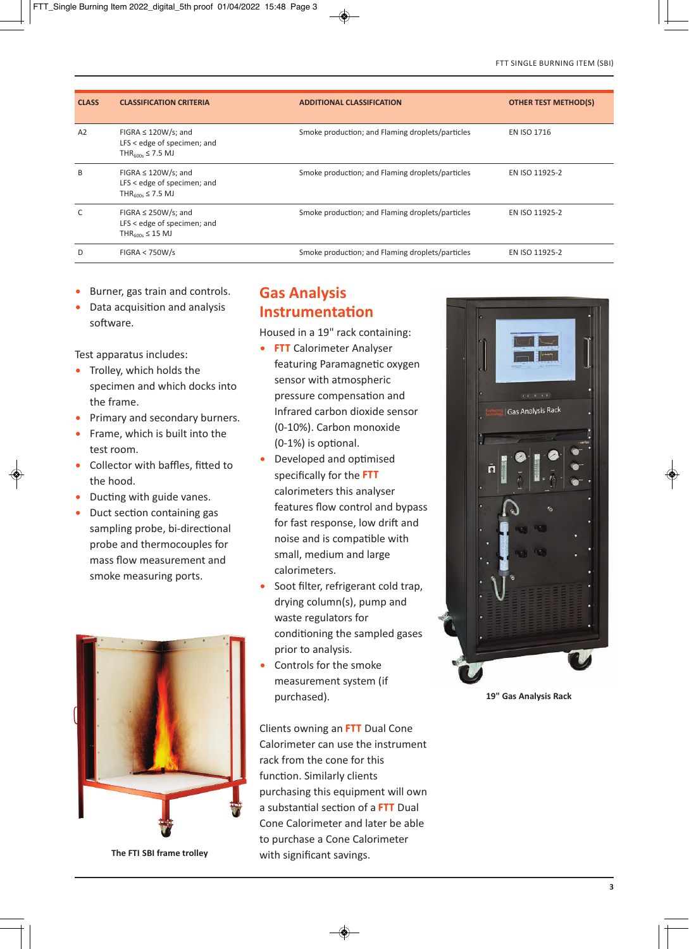| <b>CLASS</b> | <b>CLASSIFICATION CRITERIA</b>                                                                    | <b>ADDITIONAL CLASSIFICATION</b>                 | <b>OTHER TEST METHOD(S)</b> |
|--------------|---------------------------------------------------------------------------------------------------|--------------------------------------------------|-----------------------------|
| A2           | FIGRA $\leq$ 120W/s; and<br>LFS < edge of specimen; and<br>THR $_{600s}$ $\leq$ 7.5 MJ            | Smoke production; and Flaming droplets/particles | <b>EN ISO 1716</b>          |
| B            | FIGRA $\leq$ 120W/s; and<br>LFS $\leq$ edge of specimen; and<br>THR <sub>600s</sub> $\leq$ 7.5 MJ | Smoke production; and Flaming droplets/particles | EN ISO 11925-2              |
| C            | FIGRA $\leq$ 250W/s; and<br>LFS $\leq$ edge of specimen; and<br>THR <sub>600s</sub> $\leq$ 15 MJ  | Smoke production; and Flaming droplets/particles | EN ISO 11925-2              |
| D            | FIGRA < 750W/s                                                                                    | Smoke production; and Flaming droplets/particles | EN ISO 11925-2              |

- Burner, gas train and controls.
- Data acquisition and analysis software.

Test apparatus includes:

- Trolley, which holds the specimen and which docks into the frame.
- Primary and secondary burners.
- Frame, which is built into the test room.
- Collector with baffles, fitted to the hood.
- Ducting with guide vanes.
- Duct section containing gas sampling probe, bi-directional probe and thermocouples for mass flow measurement and smoke measuring ports.



**The FTI SBI frame trolley**

#### **Gas Analysis Instrumentation**

Housed in a 19" rack containing:

- **FTT** Calorimeter Analyser featuring Paramagnetic oxygen sensor with atmospheric pressure compensation and Infrared carbon dioxide sensor (0-10%). Carbon monoxide  $(0-1%)$  is optional.
- Developed and optimised specifically for the **FTT** calorimeters this analyser features flow control and bypass for fast response, low drift and noise and is compatible with small, medium and large calorimeters.
- Soot filter, refrigerant cold trap, drying column(s), pump and waste regulators for conditioning the sampled gases prior to analysis.
- Controls for the smoke measurement system (if purchased).

Clients owning an **FTT** Dual Cone Calorimeter can use the instrument rack from the cone for this function. Similarly clients purchasing this equipment will own a substantial section of a **FTT** Dual Cone Calorimeter and later be able to purchase a Cone Calorimeter with significant savings.



**19" Gas Analysis Rack**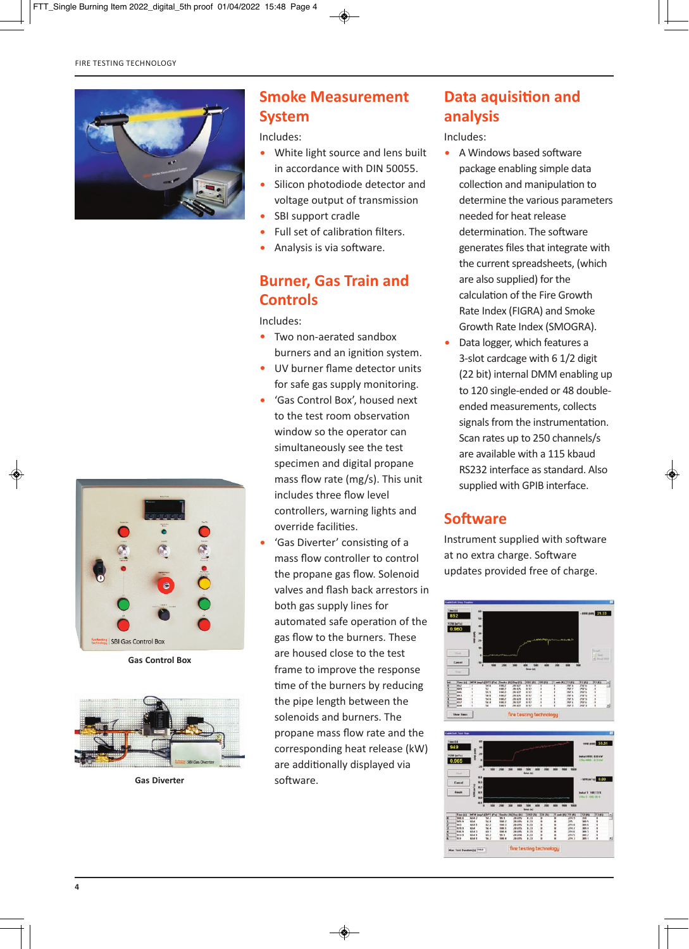

#### **Smoke Measurement System**

Includes:

- White light source and lens built in accordance with DIN 50055.
- Silicon photodiode detector and voltage output of transmission
- SBI support cradle
- Full set of calibration filters.
- Analysis is via software.

#### **Burner, Gas Train and Controls**

Includes:

- Two non-aerated sandbox burners and an ignition system.
- UV burner flame detector units for safe gas supply monitoring.
- 'Gas Control Box', housed next to the test room observation window so the operator can simultaneously see the test specimen and digital propane mass flow rate (mg/s). This unit includes three flow level controllers, warning lights and override facilities.
- 'Gas Diverter' consisting of a mass flow controller to control the propane gas flow. Solenoid valves and flash back arrestors in both gas supply lines for automated safe operation of the gas flow to the burners. These are housed close to the test frame to improve the response time of the burners by reducing the pipe length between the solenoids and burners. The propane mass flow rate and the corresponding heat release (kW) are additionally displayed via software.

# **Data aquisition and analysis**

Includes:

- A Windows based software package enabling simple data collection and manipulation to determine the various parameters needed for heat release determination. The software generates files that integrate with the current spreadsheets, (which are also supplied) for the calculation of the Fire Growth Rate Index (FIGRA) and Smoke Growth Rate Index (SMOGRA).
- Data logger, which features a 3-slot cardcage with 6 1/2 digit (22 bit) internal DMM enabling up to 120 single-ended or 48 doubleended measurements, collects signals from the instrumentation. Scan rates up to 250 channels/s are available with a 115 kbaud RS232 interface as standard. Also supplied with GPIB interface.

### **Software**

Instrument supplied with software at no extra charge. Software updates provided free of charge.







**Gas Control Box**



**Gas Diverter**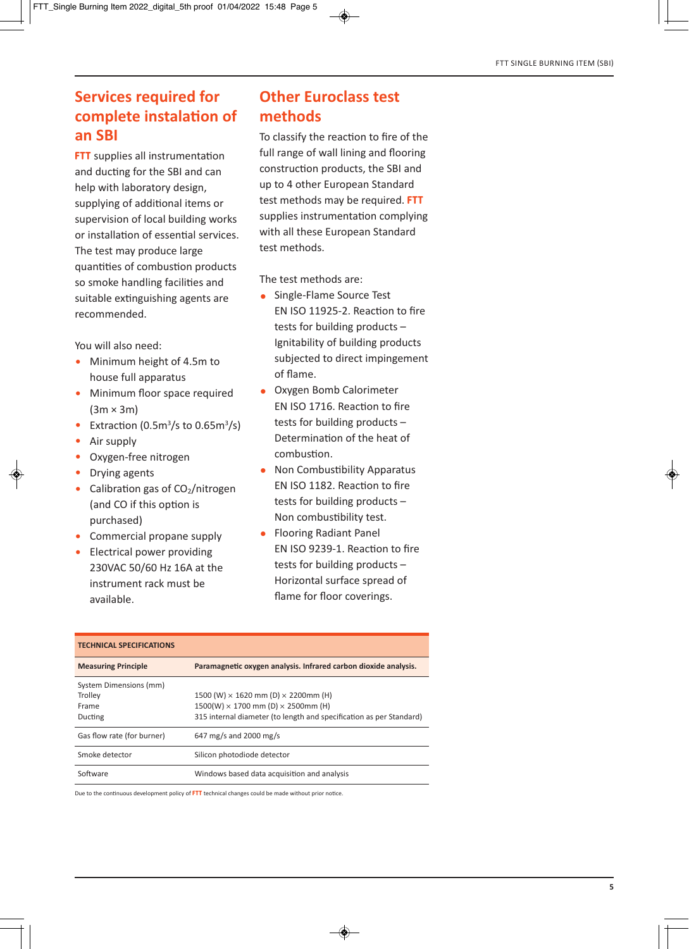# **Services required for complete instalation of an SBI**

**FTT** supplies all instrumentation and ducting for the SBI and can help with laboratory design, supplying of additional items or supervision of local building works or installation of essential services. The test may produce large quantities of combustion products so smoke handling facilities and suitable extinguishing agents are recommended.

You will also need:

- Minimum height of 4.5m to house full apparatus
- Minimum floor space required  $(3m \times 3m)$
- Extraction  $(0.5m^3/s)$  to  $0.65m^3/s$
- Air supply
- Oxygen-free nitrogen
- Drying agents
- Calibration gas of  $CO<sub>2</sub>/nitrogen$ (and CO if this option is purchased)
- Commercial propane supply
- Electrical power providing 230VAC 50/60 Hz 16A at the instrument rack must be available.

#### **Other Euroclass test methods**

To classify the reaction to fire of the full range of wall lining and flooring construction products, the SBI and up to 4 other European Standard test methods may be required. **FTT** supplies instrumentation complying with all these European Standard test methods.

The test methods are:

- Single-Flame Source Test EN ISO 11925-2. Reaction to fire tests for building products – Ignitability of building products subjected to direct impingement of flame.
- Oxygen Bomb Calorimeter EN ISO 1716. Reaction to fire tests for building products – Determination of the heat of combustion.
- Non Combustibility Apparatus EN ISO 1182. Reaction to fire tests for building products – Non combustibility test.
- Flooring Radiant Panel EN ISO 9239-1. Reaction to fire tests for building products – Horizontal surface spread of flame for floor coverings.

| <b>TECHNICAL SPECIFICATIONS</b> |                                                                     |  |  |
|---------------------------------|---------------------------------------------------------------------|--|--|
| <b>Measuring Principle</b>      | Paramagnetic oxygen analysis. Infrared carbon dioxide analysis.     |  |  |
| System Dimensions (mm)          |                                                                     |  |  |
| Trolley                         | 1500 (W) $\times$ 1620 mm (D) $\times$ 2200mm (H)                   |  |  |
| Frame                           | $1500(W) \times 1700$ mm (D) $\times$ 2500mm (H)                    |  |  |
| Ducting                         | 315 internal diameter (to length and specification as per Standard) |  |  |
| Gas flow rate (for burner)      | 647 mg/s and 2000 mg/s                                              |  |  |
| Smoke detector                  | Silicon photodiode detector                                         |  |  |
| Software                        | Windows based data acquisition and analysis                         |  |  |

Due to the continuous development policy of **FTT** technical changes could be made without prior notice.